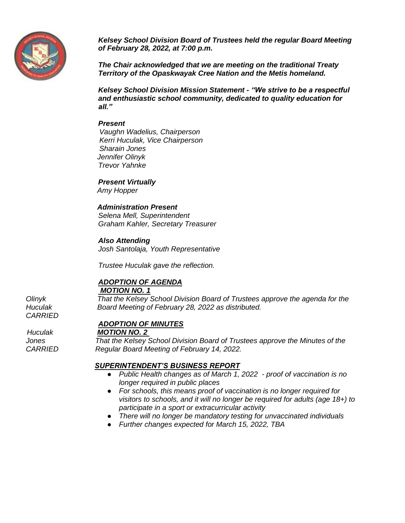

*Kelsey School Division Board of Trustees held the regular Board Meeting of February 28, 2022, at 7:00 p.m.*

*The Chair acknowledged that we are meeting on the traditional Treaty Territory of the Opaskwayak Cree Nation and the Metis homeland.*

*Kelsey School Division Mission Statement - "We strive to be a respectful and enthusiastic school community, dedicated to quality education for all."*

#### *Present*

 *Vaughn Wadelius, Chairperson Kerri Huculak, Vice Chairperson Sharain Jones Jennifer Olinyk Trevor Yahnke* 

*Present Virtually*

*Amy Hopper*

### *Administration Present*

*Selena Mell, Superintendent Graham Kahler, Secretary Treasurer*

#### *Also Attending*

*Josh Santolaja, Youth Representative*

*Trustee Huculak gave the reflection.* 

# *ADOPTION OF AGENDA*

*MOTION NO. 1*

*Olinyk That the Kelsey School Division Board of Trustees approve the agenda for the Huculak Board Meeting of February 28, 2022 as distributed.*

### *ADOPTION OF MINUTES*

 *Huculak MOTION NO. 2* 

*Jones That the Kelsey School Division Board of Trustees approve the Minutes of the CARRIED Regular Board Meeting of February 14, 2022.* 

#### *SUPERINTENDENT'S BUSINESS REPORT*

- *Public Health changes as of March 1, 2022 - proof of vaccination is no longer required in public places*
- *For schools, this means proof of vaccination is no longer required for visitors to schools, and it will no longer be required for adults (age 18+) to participate in a sport or extracurricular activity*
- *There will no longer be mandatory testing for unvaccinated individuals*
- *Further changes expected for March 15, 2022, TBA*

*CARRIED*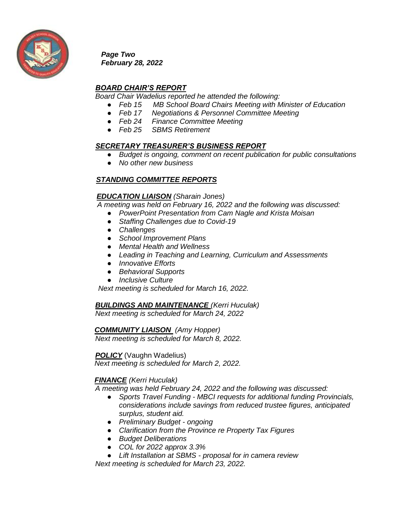

*Page Two February 28, 2022*

### *BOARD CHAIR'S REPORT*

*Board Chair Wadelius reported he attended the following:*

- *Feb 15 MB School Board Chairs Meeting with Minister of Education*
- *Feb 17 Negotiations & Personnel Committee Meeting*
- *Feb 24 Finance Committee Meeting*
- *Feb 25 SBMS Retirement*

### *SECRETARY TREASURER'S BUSINESS REPORT*

- *Budget is ongoing, comment on recent publication for public consultations*
- *No other new business*

# *STANDING COMMITTEE REPORTS*

### *EDUCATION LIAISON (Sharain Jones)*

 *A meeting was held on February 16, 2022 and the following was discussed:*

- *PowerPoint Presentation from Cam Nagle and Krista Moisan*
- *Staffing Challenges due to Covid-19*
- *Challenges*
- *School Improvement Plans*
- *Mental Health and Wellness*
- *Leading in Teaching and Learning, Curriculum and Assessments*
- *Innovative Efforts*
- *Behavioral Supports*
- *Inclusive Culture*

*Next meeting is scheduled for March 16, 2022.* 

*BUILDINGS AND MAINTENANCE (Kerri Huculak)*

 *Next meeting is scheduled for March 24, 2022*

 *COMMUNITY LIAISON (Amy Hopper)*

*Next meeting is scheduled for March 8, 2022.*

*POLICY* (Vaughn Wadelius)

 *Next meeting is scheduled for March 2, 2022.*

### *FINANCE (Kerri Huculak)*

*A meeting was held February 24, 2022 and the following was discussed:* 

- *Sports Travel Funding - MBCI requests for additional funding Provincials, considerations include savings from reduced trustee figures, anticipated surplus, student aid.*
- *Preliminary Budget - ongoing*
- *Clarification from the Province re Property Tax Figures*
- *Budget Deliberations*
- *COL for 2022 approx 3.3%*
- *Lift Installation at SBMS - proposal for in camera review*

*Next meeting is scheduled for March 23, 2022.*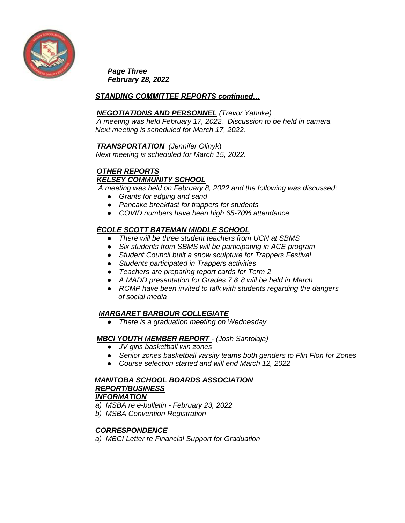

*Page Three February 28, 2022*

### *STANDING COMMITTEE REPORTS continued…*

#### *NEGOTIATIONS AND PERSONNEL (Trevor Yahnke)*

*A meeting was held February 17, 2022. Discussion to be held in camera Next meeting is scheduled for March 17, 2022.* 

#### *TRANSPORTATION (Jennifer Olinyk*)

 *Next meeting is scheduled for March 15, 2022.* 

### *OTHER REPORTS KELSEY COMMUNITY SCHOOL*

*A meeting was held on February 8, 2022 and the following was discussed:*

- *Grants for edging and sand*
- *Pancake breakfast for trappers for students*
- *COVID numbers have been high 65-70% attendance*

### *ÈCOLE SCOTT BATEMAN MIDDLE SCHOOL*

- *There will be three student teachers from UCN at SBMS*
- *Six students from SBMS will be participating in ACE program*
- *Student Council built a snow sculpture for Trappers Festival*
- *Students participated in Trappers activities*
- *Teachers are preparing report cards for Term 2*
- *A MADD presentation for Grades 7 & 8 will be held in March*
- *RCMP have been invited to talk with students regarding the dangers of social media*

### *MARGARET BARBOUR COLLEGIATE*

● *There is a graduation meeting on Wednesday*

### *MBCI YOUTH MEMBER REPORT - (Josh Santolaja)*

- *JV girls basketball win zones*
- *Senior zones basketball varsity teams both genders to Flin Flon for Zones*
- *Course selection started and will end March 12, 2022*

#### *MANITOBA SCHOOL BOARDS ASSOCIATION REPORT/BUSINESS INFORMATION*

- *a) MSBA re e-bulletin - February 23, 2022*
- *b) MSBA Convention Registration*

### *CORRESPONDENCE*

*a) MBCI Letter re Financial Support for Graduation*